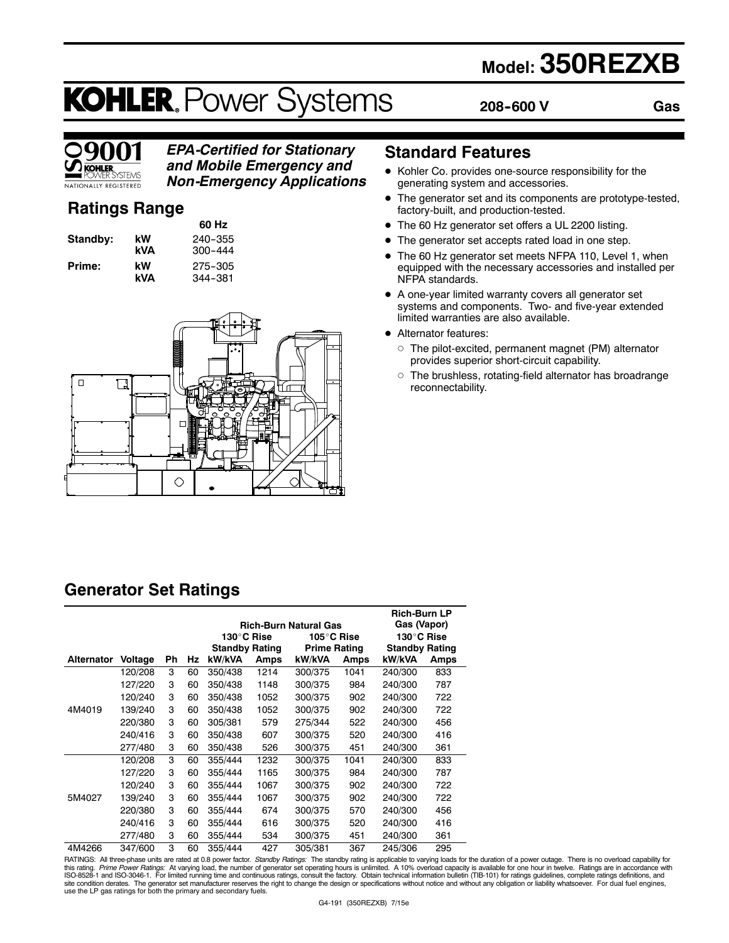# **Model: 350REZXB**

# **KOHLER. Power Systems**

**208--600 V**

**Gas**



# *EPA-Certified for Stationary and Mobile Emergency and*

*Non-Emergency Applications*

# **Ratings Range**

| Standby: | kW<br>kVA            |
|----------|----------------------|
| Prime:   | kW<br>. . <i>.</i> . |

**60 Hz Standby: kW** 240--355 **kVA** 300--444 **Prime: kW** 275--305 **kVA** 344-381



# **Standard Features**

- $\bullet$  Kohler Co. provides one-source responsibility for the generating system and accessories.
- $\bullet$  The generator set and its components are prototype-tested, factory-built, and production-tested.
- The 60 Hz generator set offers a UL 2200 listing.
- The generator set accepts rated load in one step.
- The 60 Hz generator set meets NFPA 110, Level 1, when equipped with the necessary accessories and installed per NFPA standards.
- $\bullet$  A one-year limited warranty covers all generator set systems and components. Two- and five-year extended limited warranties are also available.
- Alternator features:
	- $\circ$  The pilot-excited, permanent magnet (PM) alternator provides superior short-circuit capability.
	- $\circ$  The brushless, rotating-field alternator has broadrange reconnectability.

# **Generator Set Ratings**

|            |                                        |           |    |                       |      | <b>Rich-Burn Natural Gas</b> |      | <b>Rich-Burn LP</b><br>Gas (Vapor) |             |
|------------|----------------------------------------|-----------|----|-----------------------|------|------------------------------|------|------------------------------------|-------------|
|            | 130°C Rise<br>130°C Rise<br>105°C Rise |           |    |                       |      |                              |      |                                    |             |
|            |                                        |           |    | <b>Standby Rating</b> |      | <b>Prime Rating</b>          |      | <b>Standby Rating</b>              |             |
| Alternator | Voltage                                | <b>Ph</b> | Hz | kW/kVA                | Amps | kW/kVA                       | Amps | kW/kVA                             | <b>Amps</b> |
|            | 120/208                                | 3         | 60 | 350/438               | 1214 | 300/375                      | 1041 | 240/300                            | 833         |
|            | 127/220                                | 3         | 60 | 350/438               | 1148 | 300/375                      | 984  | 240/300                            | 787         |
|            | 120/240                                | 3         | 60 | 350/438               | 1052 | 300/375                      | 902  | 240/300                            | 722         |
| 4M4019     | 139/240                                | 3         | 60 | 350/438               | 1052 | 300/375                      | 902  | 240/300                            | 722         |
|            | 220/380                                | 3         | 60 | 305/381               | 579  | 275/344                      | 522  | 240/300                            | 456         |
|            | 240/416                                | 3         | 60 | 350/438               | 607  | 300/375                      | 520  | 240/300                            | 416         |
|            | 277/480                                | 3         | 60 | 350/438               | 526  | 300/375                      | 451  | 240/300                            | 361         |
|            | 120/208                                | 3         | 60 | 355/444               | 1232 | 300/375                      | 1041 | 240/300                            | 833         |
|            | 127/220                                | 3         | 60 | 355/444               | 1165 | 300/375                      | 984  | 240/300                            | 787         |
|            | 120/240                                | 3         | 60 | 355/444               | 1067 | 300/375                      | 902  | 240/300                            | 722         |
| 5M4027     | 139/240                                | 3         | 60 | 355/444               | 1067 | 300/375                      | 902  | 240/300                            | 722         |
|            | 220/380                                | 3         | 60 | 355/444               | 674  | 300/375                      | 570  | 240/300                            | 456         |
|            | 240/416                                | 3         | 60 | 355/444               | 616  | 300/375                      | 520  | 240/300                            | 416         |
|            | 277/480                                | 3         | 60 | 355/444               | 534  | 300/375                      | 451  | 240/300                            | 361         |
| 4M4266     | 347/600                                | 3         | 60 | 355/444               | 427  | 305/381                      | 367  | 245/306                            | 295         |

RATINGS: All three-phase units are rated at 0.8 power factor. *Standby Ratings:* The standby rating is applicable to varying loads for the duration of a power outage. There is no overload capability for<br>this rating. *Prime* use the LP gas ratings for both the primary and secondary fuels.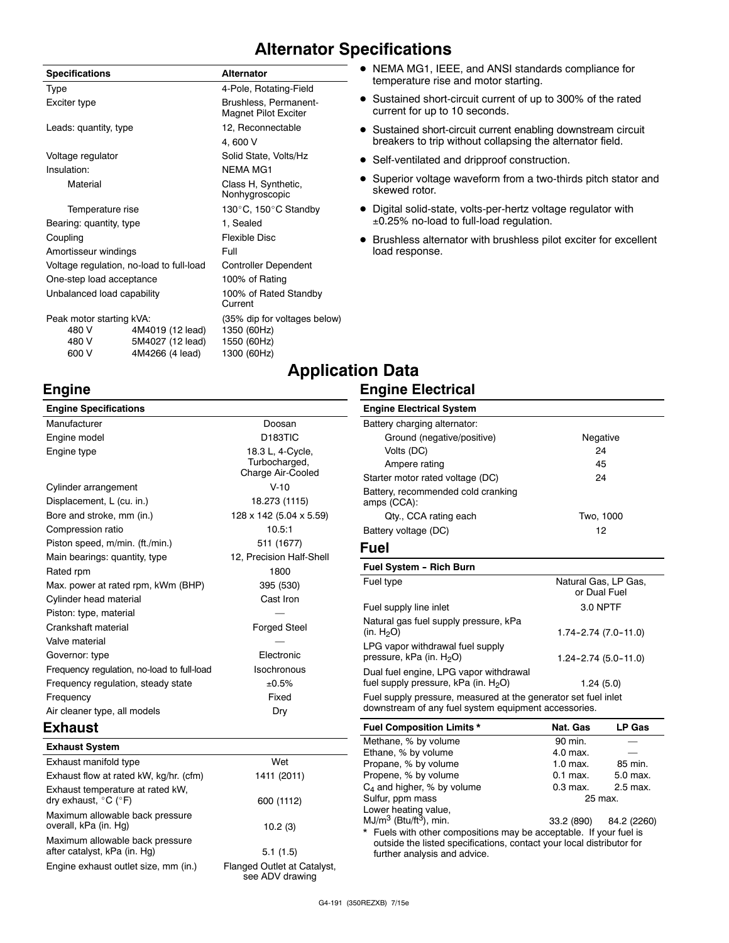# **Alternator Specifications**

| <b>Specifications</b>                               |                                                         | <b>Alternator</b>                                                         | $\bullet\,$ Nema MC $\,$<br>temperatu |
|-----------------------------------------------------|---------------------------------------------------------|---------------------------------------------------------------------------|---------------------------------------|
| Type                                                |                                                         | 4-Pole, Rotating-Field                                                    |                                       |
| Exciter type                                        |                                                         | Brushless, Permanent-<br><b>Magnet Pilot Exciter</b>                      | • Sustained<br>current for            |
| Leads: quantity, type                               |                                                         | 12, Reconnectable                                                         | • Sustained                           |
|                                                     |                                                         | 4.600 V                                                                   | breakers t                            |
| Voltage regulator                                   |                                                         | Solid State, Volts/Hz                                                     | • Self-ventil                         |
| Insulation:                                         |                                                         | <b>NEMA MG1</b>                                                           |                                       |
| Material                                            |                                                         | Class H, Synthetic,<br>Nonhygroscopic                                     | $\bullet~$ Superior v<br>skewed rc    |
| Temperature rise                                    |                                                         | 130°C, 150°C Standby                                                      | Digital soli                          |
| Bearing: quantity, type                             |                                                         | 1, Sealed                                                                 | $\pm 0.25\%$ no                       |
| Coupling                                            |                                                         | <b>Flexible Disc</b>                                                      | • Brushless                           |
| Amortisseur windings                                |                                                         | Full                                                                      | load respo                            |
| Voltage regulation, no-load to full-load            |                                                         | <b>Controller Dependent</b>                                               |                                       |
| One-step load acceptance                            |                                                         | 100% of Rating                                                            |                                       |
| Unbalanced load capability                          |                                                         | 100% of Rated Standby<br>Current                                          |                                       |
| Peak motor starting kVA:<br>480 V<br>480 V<br>600 V | 4M4019 (12 lead)<br>5M4027 (12 lead)<br>4M4266 (4 lead) | (35% dip for voltages below)<br>1350 (60Hz)<br>1550 (60Hz)<br>1300 (60Hz) |                                       |
|                                                     |                                                         |                                                                           | <b>Application Data</b>               |

#### • NEMA MG1, IEEE, and ANSI standards compliance for temperature rise and motor starting.

- Sustained short-circuit current of up to 300% of the rated current for up to 10 seconds.
- Sustained short-circuit current enabling downstream circuit breakers to trip without collapsing the alternator field.
- Self-ventilated and dripproof construction.
- Superior voltage waveform from a two-thirds pitch stator and skewed rotor.
- Digital solid-state, volts-per-hertz voltage regulator with 0.25% no-load to full-load regulation.
- $\bullet$  Brushless alternator with brushless pilot exciter for excellent load response.

### **Engine**

#### **Engine Specifications** Manufacturer **Doosan** Engine model D183TIC Engine type **18.3** L, 4-Cycle, Turbocharged, Charge Air-Cooled Cylinder arrangement V-10 Displacement, L (cu. in.) 18.273 (1115) Bore and stroke, mm (in.) 128 x 142 (5.04 x 5.59) Compression ratio 10.5:1 Piston speed, m/min. (ft./min.) 511 (1677) Main bearings: quantity, type 12, Precision Half-Shell Rated rpm 1800 Max. power at rated rpm, kWm (BHP) 395 (530) Cylinder head material Cylinder head material cast Iron Piston: type, material Crankshaft material **Forged Steel** Valve material Governor: type **Electronic** Frequency regulation, no-load to full-load Isochronous Frequency regulation, steady state  $\pm 0.5\%$ Frequency **Fixed** Air cleaner type, all models Dry

#### **Engine Electrical System** Battery charging alternator: Ground (negative/positive) Negative Volts (DC) 24 Ampere rating 45 Starter motor rated voltage (DC) 24 Battery, recommended cold cranking amps (CCA): Qty., CCA rating each Two, 1000

**Engine Electrical**

# Battery voltage (DC) 12 **Fuel**

| <b>Fuel System - Rich Burn</b>                                                                                         |                                      |
|------------------------------------------------------------------------------------------------------------------------|--------------------------------------|
| Fuel type                                                                                                              | Natural Gas, LP Gas,<br>or Dual Fuel |
| Fuel supply line inlet                                                                                                 | 3.0 NPTF                             |
| Natural gas fuel supply pressure, kPa<br>(in. H <sub>2</sub> O)                                                        | $1.74 - 2.74$ (7.0 - 11.0)           |
| LPG vapor withdrawal fuel supply<br>pressure, kPa (in. $H_2O$ )                                                        | $1.24 - 2.74(5.0 - 11.0)$            |
| Dual fuel engine, LPG vapor withdrawal<br>fuel supply pressure, kPa (in. H <sub>2</sub> O)                             | 1.24(5.0)                            |
| Fuel supply pressure, measured at the generator set fuel inlet<br>downstream of any fuel system equipment accessories. |                                      |

### **Exhaust**

| <b>Exhaust System</b>                                                         |                                                |
|-------------------------------------------------------------------------------|------------------------------------------------|
| Exhaust manifold type                                                         | Wet                                            |
| Exhaust flow at rated kW, kg/hr. (cfm)                                        | 1411 (2011)                                    |
| Exhaust temperature at rated kW,<br>dry exhaust, $^{\circ}$ C ( $^{\circ}$ F) | 600 (1112)                                     |
| Maximum allowable back pressure<br>overall, kPa (in. Hg)                      | 10.2(3)                                        |
| Maximum allowable back pressure<br>after catalyst, kPa (in. Hg)               | 5.1(1.5)                                       |
| Engine exhaust outlet size, mm (in.)                                          | Flanged Outlet at Catalyst,<br>see ADV drawing |

| <b>Fuel Composition Limits *</b>     | Nat. Gas   | LP Gas      |
|--------------------------------------|------------|-------------|
| Methane, % by volume                 | 90 min.    |             |
| Ethane, % by volume                  | 4.0 max.   |             |
| Propane, % by volume                 | $1.0$ max. | 85 min.     |
| Propene, % by volume                 | $0.1$ max. | 5.0 max.    |
| $C_4$ and higher, % by volume        | $0.3$ max. | 2.5 max.    |
| Sulfur, ppm mass                     | 25 max.    |             |
| Lower heating value,                 |            |             |
| $MJ/m3$ (Btu/ft <sup>3</sup> ), min. | 33.2 (890) | 84.2 (2260) |
|                                      |            |             |

\* Fuels with other compositions may be acceptable. If your fuel is outside the listed specifications, contact your local distributor for further analysis and advice.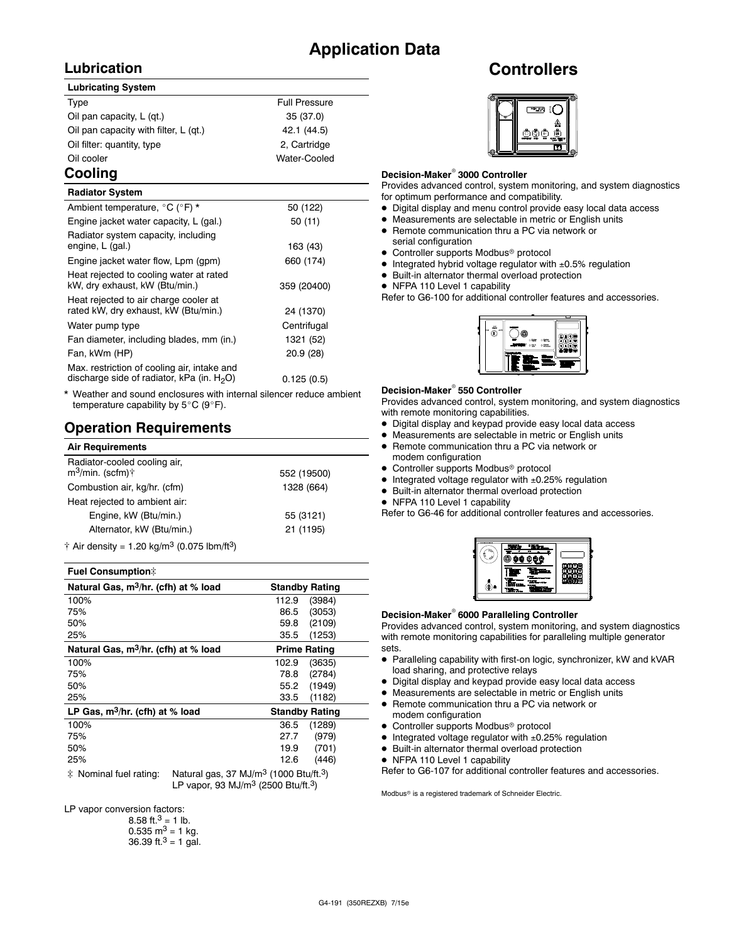# **Application Data**

# **Lubrication**

#### **Lubricating System**

| Type                                  | <b>Full Pressure</b> |
|---------------------------------------|----------------------|
| Oil pan capacity, L (qt.)             | 35 (37.0)            |
| Oil pan capacity with filter, L (qt.) | 42.1 (44.5)          |
| Oil filter: quantity, type            | 2. Cartridge         |
| Oil cooler                            | Water-Cooled         |
|                                       |                      |

# **Cooling**

| <b>Radiator System</b>                                                                       |             |
|----------------------------------------------------------------------------------------------|-------------|
| Ambient temperature, °C (°F) *                                                               | 50 (122)    |
| Engine jacket water capacity, L (gal.)                                                       | 50(11)      |
| Radiator system capacity, including<br>engine, L (gal.)                                      | 163 (43)    |
| Engine jacket water flow, Lpm (gpm)                                                          | 660 (174)   |
| Heat rejected to cooling water at rated<br>kW, dry exhaust, kW (Btu/min.)                    | 359 (20400) |
| Heat rejected to air charge cooler at<br>rated kW, dry exhaust, kW (Btu/min.)                | 24 (1370)   |
| Water pump type                                                                              | Centrifugal |
| Fan diameter, including blades, mm (in.)                                                     | 1321 (52)   |
| Fan, kWm (HP)                                                                                | 20.9 (28)   |
| Max. restriction of cooling air, intake and<br>discharge side of radiator, kPa (in. $H_2O$ ) | 0.125(0.5)  |

Weather and sound enclosures with internal silencer reduce ambient temperature capability by  $5^{\circ}$ C (9 $^{\circ}$ F).

### **Operation Requirements**

| <b>Air Requirements</b>                                       |             |
|---------------------------------------------------------------|-------------|
| Radiator-cooled cooling air,<br>$m^3$ /min. (scfm) $\uparrow$ | 552 (19500) |
| Combustion air, kg/hr. (cfm)                                  | 1328 (664)  |
| Heat rejected to ambient air:                                 |             |
| Engine, kW (Btu/min.)                                         | 55 (3121)   |
| Alternator, kW (Btu/min.)                                     | 21 (1195)   |
| $+$ Air density $=$ 1.00 kg/m <sup>3</sup> (0.075 lbm $/43$ ) |             |

 $\dagger$  Air density = 1.20 kg/m<sup>3</sup> (0.075 lbm/ft<sup>3</sup>)

#### **Fuel Consumption**]

| Natural Gas, m <sup>3</sup> /hr. (cfh) at % load                                                                    | <b>Standby Rating</b> |
|---------------------------------------------------------------------------------------------------------------------|-----------------------|
| 100%                                                                                                                | 112.9<br>(3984)       |
| 75%                                                                                                                 | (3053)<br>86.5        |
| 50%                                                                                                                 | (2109)<br>59.8        |
| 25%                                                                                                                 | 35.5<br>(1253)        |
| Natural Gas, m <sup>3</sup> /hr. (cfh) at % load                                                                    | <b>Prime Rating</b>   |
| 100%                                                                                                                | 102.9<br>(3635)       |
| 75%                                                                                                                 | (2784)<br>78.8        |
| 50%                                                                                                                 | (1949)<br>55.2        |
| 25%                                                                                                                 | 33.5<br>(1182)        |
| LP Gas, $m^3/hr$ . (cfh) at % load                                                                                  | <b>Standby Rating</b> |
| 100%                                                                                                                | (1289)<br>36.5        |
| 75%                                                                                                                 | (979)<br>27.7         |
| 50%                                                                                                                 | (701)<br>19.9         |
| 25%                                                                                                                 | 12.6<br>(446)         |
| $\pm$ M, $\pm$ 1 f it $\pm$ 1 $\pm$ 1 $\pm$ 1 $\pm$ 1 $\pm$ 1 $\pm$ 1 $\pm$ 2 $\pm$ 1 $\pm$ 1 $\pm$ 1 $\pm$ 2 $\pm$ |                       |

 $\ddagger$  Nominal fuel rating: Natural gas, 37 MJ/m<sup>3</sup> (1000 Btu/ft.<sup>3</sup>) LP vapor, 93 MJ/ $m^3$  (2500 Btu/ft.<sup>3</sup>)

LP vapor conversion factors:

| 8.58 ft. <sup>3</sup> = 1 lb.        |
|--------------------------------------|
| $0.535 \text{ m}^3 = 1 \text{ kg}$ . |
| 36.39 ft. <sup>3</sup> = 1 gal.      |

# **Controllers**



#### **Decision-Maker<sup>®</sup> 3000 Controller**

Provides advanced control, system monitoring, and system diagnostics for optimum performance and compatibility.

- $\bullet$  Digital display and menu control provide easy local data access
- $\bullet$  Measurements are selectable in metric or English units
- Remote communication thru a PC via network or serial configuration
- Controller supports Modbus<sup>®</sup> protocol
- $\bullet$  Integrated hybrid voltage regulator with  $\pm 0.5\%$  regulation
- $\bullet$  Built-in alternator thermal overload protection
- NFPA 110 Level 1 capability

Refer to G6-100 for additional controller features and accessories.



#### **Decision-Maker<sup>®</sup> 550 Controller**

Provides advanced control, system monitoring, and system diagnostics with remote monitoring capabilities.

- $\bullet$  Digital display and keypad provide easy local data access
- $\bullet$  Measurements are selectable in metric or English units
- Remote communication thru a PC via network or
- modem configuration  $\bullet$  Controller supports Modbus<sup>®</sup> protocol
- $\bullet$  Integrated voltage regulator with  $\pm 0.25\%$  regulation
- $\bullet$  Built-in alternator thermal overload protection
- NFPA 110 Level 1 capability

Refer to G6-46 for additional controller features and accessories.

| p. |  |
|----|--|
|    |  |
|    |  |
|    |  |
|    |  |
|    |  |

#### **Decision-Maker<sup>®</sup> 6000 Paralleling Controller**

Provides advanced control, system monitoring, and system diagnostics with remote monitoring capabilities for paralleling multiple generator sets.

- Paralleling capability with first-on logic, synchronizer, kW and kVAR load sharing, and protective relays
- $\bullet$  Digital display and keypad provide easy local data access
- $\bullet$  Measurements are selectable in metric or English units
- Remote communication thru a PC via network or modem configuration
- $\bullet$  Controller supports Modbus<sup>®</sup> protocol
- $\bullet$  Integrated voltage regulator with  $\pm 0.25\%$  regulation
- $\bullet$  Built-in alternator thermal overload protection
- NFPA 110 Level 1 capability

Refer to G6-107 for additional controller features and accessories.

Modbus<sup>®</sup> is a registered trademark of Schneider Electric.